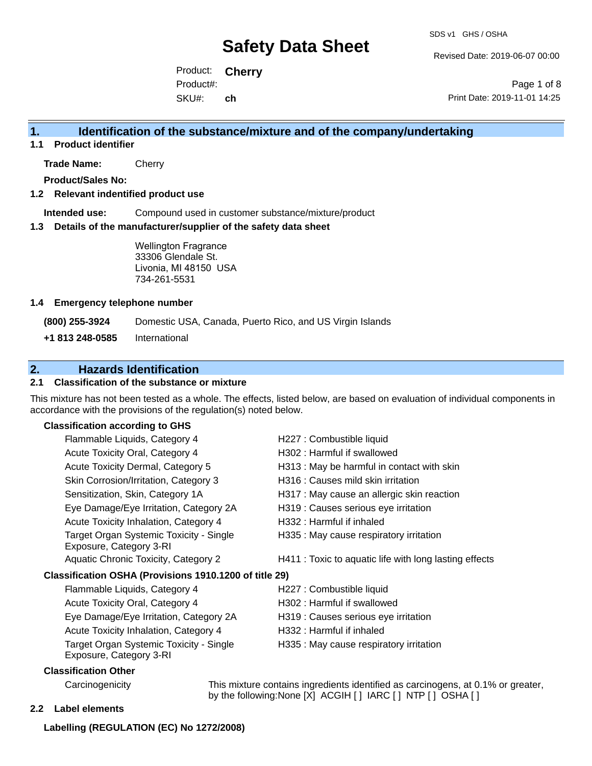Revised Date: 2019-06-07 00:00

Product: **Cherry** SKU#: Product#: **ch**

Page 1 of 8 Print Date: 2019-11-01 14:25

### **1. Identification of the substance/mixture and of the company/undertaking**

**1.1 Product identifier**

**Trade Name:** Cherry

**Product/Sales No:**

#### **1.2 Relevant indentified product use**

**Intended use:** Compound used in customer substance/mixture/product

#### **1.3 Details of the manufacturer/supplier of the safety data sheet**

Wellington Fragrance 33306 Glendale St. Livonia, MI 48150 USA 734-261-5531

#### **1.4 Emergency telephone number**

**(800) 255-3924** Domestic USA, Canada, Puerto Rico, and US Virgin Islands

**+1 813 248-0585** International

# **2. Hazards Identification**

#### **2.1 Classification of the substance or mixture**

This mixture has not been tested as a whole. The effects, listed below, are based on evaluation of individual components in accordance with the provisions of the regulation(s) noted below.

#### **Classification according to GHS**

| Flammable Liquids, Category 4                                      | H227 : Combustible liquid                              |
|--------------------------------------------------------------------|--------------------------------------------------------|
| Acute Toxicity Oral, Category 4                                    | H302: Harmful if swallowed                             |
| Acute Toxicity Dermal, Category 5                                  | H313 : May be harmful in contact with skin             |
| Skin Corrosion/Irritation, Category 3                              | H316 : Causes mild skin irritation                     |
| Sensitization, Skin, Category 1A                                   | H317 : May cause an allergic skin reaction             |
| Eye Damage/Eye Irritation, Category 2A                             | H319 : Causes serious eye irritation                   |
| Acute Toxicity Inhalation, Category 4                              | H332 : Harmful if inhaled                              |
| Target Organ Systemic Toxicity - Single<br>Exposure, Category 3-RI | H335 : May cause respiratory irritation                |
| Aquatic Chronic Toxicity, Category 2                               | H411 : Toxic to aquatic life with long lasting effects |
| Classification OSHA (Provisions 1910.1200 of title 29)             |                                                        |
| Flammable Liquids, Category 4                                      | H227 : Combustible liquid                              |
| Acute Toxicity Oral, Category 4                                    | H302 : Harmful if swallowed                            |
| Eye Damage/Eye Irritation, Category 2A                             | H319 : Causes serious eye irritation                   |
| Acute Toxicity Inhalation, Category 4                              | H332 : Harmful if inhaled                              |
| Target Organ Systemic Toxicity - Single<br>Exposure, Category 3-RI | H335 : May cause respiratory irritation                |
|                                                                    |                                                        |

#### **Classification Other**

Carcinogenicity This mixture contains ingredients identified as carcinogens, at 0.1% or greater, by the following:None [X] ACGIH [ ] IARC [ ] NTP [ ] OSHA [ ]

**2.2 Label elements**

#### **Labelling (REGULATION (EC) No 1272/2008)**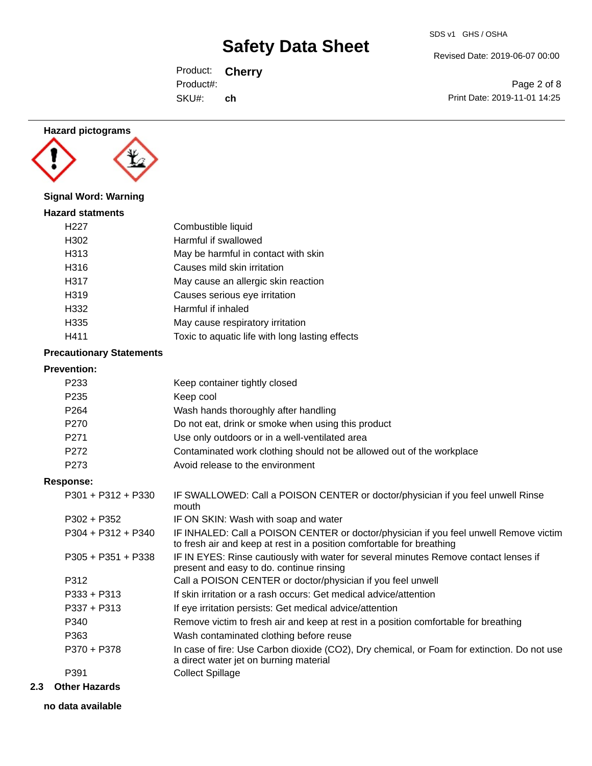Revised Date: 2019-06-07 00:00

Product: **Cherry** SKU#: Product#: **ch**

Page 2 of 8 Print Date: 2019-11-01 14:25



### **Signal Word: Warning**

| <b>Hazard statments</b> |                                                 |
|-------------------------|-------------------------------------------------|
| H <sub>22</sub> 7       | Combustible liquid                              |
| H302                    | Harmful if swallowed                            |
| H313                    | May be harmful in contact with skin             |
| H316                    | Causes mild skin irritation                     |
| H317                    | May cause an allergic skin reaction             |
| H319                    | Causes serious eye irritation                   |
| H332                    | Harmful if inhaled                              |
| H335                    | May cause respiratory irritation                |
| H411                    | Toxic to aquatic life with long lasting effects |

### **Precautionary Statements**

| <b>Prevention:</b> |  |
|--------------------|--|
|                    |  |

| FIEVENUON.           |                                                                                                                                                                |
|----------------------|----------------------------------------------------------------------------------------------------------------------------------------------------------------|
| P <sub>2</sub> 33    | Keep container tightly closed                                                                                                                                  |
| P <sub>235</sub>     | Keep cool                                                                                                                                                      |
| P <sub>264</sub>     | Wash hands thoroughly after handling                                                                                                                           |
| P <sub>270</sub>     | Do not eat, drink or smoke when using this product                                                                                                             |
| P <sub>271</sub>     | Use only outdoors or in a well-ventilated area                                                                                                                 |
| P272                 | Contaminated work clothing should not be allowed out of the workplace                                                                                          |
| P <sub>273</sub>     | Avoid release to the environment                                                                                                                               |
| <b>Response:</b>     |                                                                                                                                                                |
| $P301 + P312 + P330$ | IF SWALLOWED: Call a POISON CENTER or doctor/physician if you feel unwell Rinse<br>mouth                                                                       |
| $P302 + P352$        | IF ON SKIN: Wash with soap and water                                                                                                                           |
| $P304 + P312 + P340$ | IF INHALED: Call a POISON CENTER or doctor/physician if you feel unwell Remove victim<br>to fresh air and keep at rest in a position comfortable for breathing |
| $P305 + P351 + P338$ | IF IN EYES: Rinse cautiously with water for several minutes Remove contact lenses if<br>present and easy to do. continue rinsing                               |
| P312                 | Call a POISON CENTER or doctor/physician if you feel unwell                                                                                                    |
| $P333 + P313$        | If skin irritation or a rash occurs: Get medical advice/attention                                                                                              |
| $P337 + P313$        | If eye irritation persists: Get medical advice/attention                                                                                                       |
| P340                 | Remove victim to fresh air and keep at rest in a position comfortable for breathing                                                                            |
| P363                 | Wash contaminated clothing before reuse                                                                                                                        |
| P370 + P378          | In case of fire: Use Carbon dioxide (CO2), Dry chemical, or Foam for extinction. Do not use<br>a direct water jet on burning material                          |
| P391                 | <b>Collect Spillage</b>                                                                                                                                        |
| Other Hererde        |                                                                                                                                                                |

# **2.3 Other Hazards**

**no data available**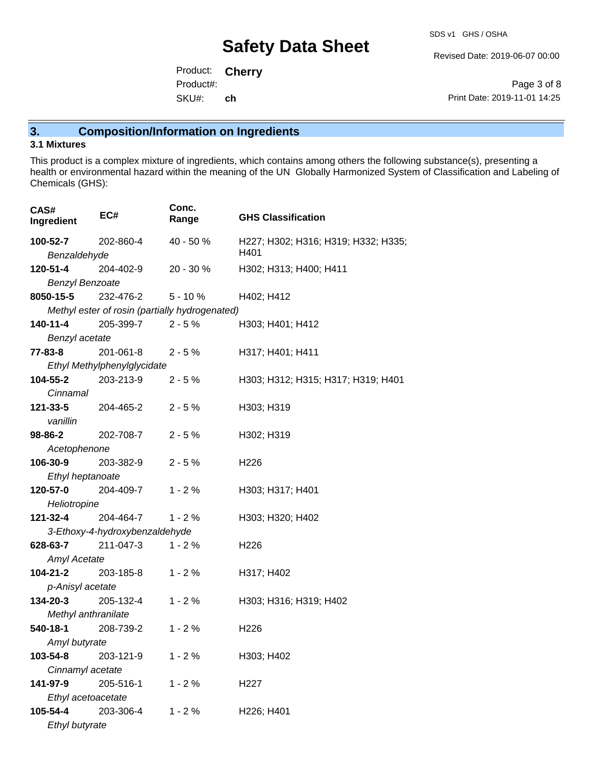Revised Date: 2019-06-07 00:00

Product: **Cherry** SKU#: Product#: **ch**

Page 3 of 8 Print Date: 2019-11-01 14:25

# **3. Composition/Information on Ingredients**

### **3.1 Mixtures**

This product is a complex mixture of ingredients, which contains among others the following substance(s), presenting a health or environmental hazard within the meaning of the UN Globally Harmonized System of Classification and Labeling of Chemicals (GHS):

| CAS#<br>Ingredient        | EC#                            | Conc.<br>Range                                 | <b>GHS Classification</b>           |
|---------------------------|--------------------------------|------------------------------------------------|-------------------------------------|
| 100-52-7                  | 202-860-4                      | 40 - 50 %                                      | H227; H302; H316; H319; H332; H335; |
| Benzaldehyde              |                                |                                                | H401                                |
| 120-51-4                  | 204-402-9                      | 20 - 30 %                                      | H302; H313; H400; H411              |
| <b>Benzyl Benzoate</b>    |                                |                                                |                                     |
| 8050-15-5                 | 232-476-2                      | $5 - 10%$                                      | H402; H412                          |
|                           |                                | Methyl ester of rosin (partially hydrogenated) |                                     |
| 140-11-4                  | 205-399-7                      | $2 - 5 \%$                                     | H303; H401; H412                    |
| Benzyl acetate            |                                |                                                |                                     |
| 77-83-8                   | 201-061-8                      | $2 - 5%$                                       | H317; H401; H411                    |
|                           | Ethyl Methylphenylglycidate    |                                                |                                     |
| 104-55-2                  | 203-213-9                      | $2 - 5%$                                       | H303; H312; H315; H317; H319; H401  |
| Cinnamal                  |                                |                                                |                                     |
| 121-33-5                  | 204-465-2                      | $2 - 5%$                                       | H303; H319                          |
| vanillin                  |                                |                                                |                                     |
| 98-86-2                   | 202-708-7                      | $2 - 5%$                                       | H302; H319                          |
| Acetophenone              |                                |                                                |                                     |
| 106-30-9                  | 203-382-9                      | $2 - 5%$                                       | H <sub>226</sub>                    |
| Ethyl heptanoate          |                                |                                                |                                     |
| 120-57-0                  | 204-409-7                      | $1 - 2%$                                       | H303; H317; H401                    |
| Heliotropine              |                                |                                                |                                     |
| 121-32-4                  | 204-464-7                      | $1 - 2%$                                       | H303; H320; H402                    |
|                           | 3-Ethoxy-4-hydroxybenzaldehyde |                                                |                                     |
| 628-63-7                  | 211-047-3                      | $1 - 2%$                                       | H <sub>226</sub>                    |
| <b>Amyl Acetate</b>       |                                |                                                |                                     |
| <b>104-21-2</b> 203-185-8 |                                | $1 - 2%$                                       | H317; H402                          |
| p-Anisyl acetate          |                                |                                                |                                     |
| 134-20-3                  | 205-132-4                      | $1 - 2%$                                       | H303; H316; H319; H402              |
| Methyl anthranilate       |                                |                                                |                                     |
| 540-18-1                  | 208-739-2                      | $1 - 2%$                                       | H <sub>226</sub>                    |
| Amyl butyrate             |                                |                                                |                                     |
| 103-54-8                  | 203-121-9                      | $1 - 2%$                                       | H303; H402                          |
| Cinnamyl acetate          |                                |                                                |                                     |
| 141-97-9                  | 205-516-1                      | $1 - 2%$                                       | H <sub>22</sub> 7                   |
| Ethyl acetoacetate        |                                |                                                |                                     |
| 105-54-4                  | 203-306-4                      | $1 - 2%$                                       | H226; H401                          |
| Ethyl butyrate            |                                |                                                |                                     |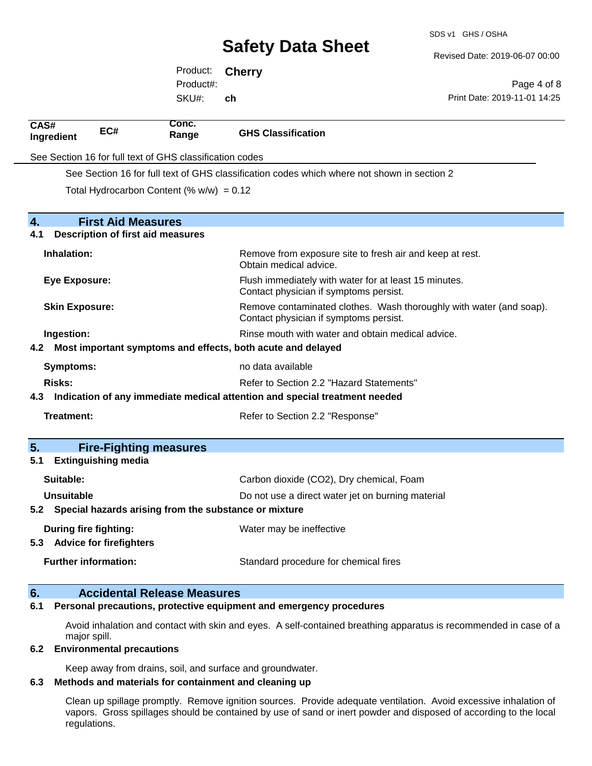Revised Date: 2019-06-07 00:00

Product: **Cherry** SKU#: Product#: **ch**

Page 4 of 8 Print Date: 2019-11-01 14:25

| CAS#<br>Ingredient                                       | EC#                                                   | Conc.<br>Range                              | <b>GHS Classification</b>                                                                                     |  |
|----------------------------------------------------------|-------------------------------------------------------|---------------------------------------------|---------------------------------------------------------------------------------------------------------------|--|
| See Section 16 for full text of GHS classification codes |                                                       |                                             |                                                                                                               |  |
|                                                          |                                                       |                                             | See Section 16 for full text of GHS classification codes which where not shown in section 2                   |  |
|                                                          |                                                       | Total Hydrocarbon Content (% $w/w$ ) = 0.12 |                                                                                                               |  |
|                                                          |                                                       |                                             |                                                                                                               |  |
| 4.                                                       | <b>First Aid Measures</b>                             |                                             |                                                                                                               |  |
| 4.1                                                      |                                                       | <b>Description of first aid measures</b>    |                                                                                                               |  |
| Inhalation:                                              |                                                       |                                             | Remove from exposure site to fresh air and keep at rest.<br>Obtain medical advice.                            |  |
| <b>Eye Exposure:</b>                                     |                                                       |                                             | Flush immediately with water for at least 15 minutes.<br>Contact physician if symptoms persist.               |  |
| <b>Skin Exposure:</b>                                    |                                                       |                                             | Remove contaminated clothes. Wash thoroughly with water (and soap).<br>Contact physician if symptoms persist. |  |
| Ingestion:                                               |                                                       |                                             | Rinse mouth with water and obtain medical advice.                                                             |  |
| 4.2                                                      |                                                       |                                             | Most important symptoms and effects, both acute and delayed                                                   |  |
| no data available<br><b>Symptoms:</b>                    |                                                       |                                             |                                                                                                               |  |
| <b>Risks:</b>                                            |                                                       |                                             | Refer to Section 2.2 "Hazard Statements"                                                                      |  |
| 4.3                                                      |                                                       |                                             | Indication of any immediate medical attention and special treatment needed                                    |  |
| <b>Treatment:</b>                                        |                                                       |                                             | Refer to Section 2.2 "Response"                                                                               |  |
| 5.                                                       |                                                       | <b>Fire-Fighting measures</b>               |                                                                                                               |  |
| 5.1                                                      | <b>Extinguishing media</b>                            |                                             |                                                                                                               |  |
| Suitable:                                                |                                                       |                                             | Carbon dioxide (CO2), Dry chemical, Foam                                                                      |  |
| <b>Unsuitable</b>                                        |                                                       |                                             | Do not use a direct water jet on burning material                                                             |  |
| 5.2                                                      | Special hazards arising from the substance or mixture |                                             |                                                                                                               |  |
| 5.3 Advice for firefighters                              | During fire fighting:                                 |                                             | Water may be ineffective                                                                                      |  |
|                                                          | <b>Further information:</b>                           |                                             | Standard procedure for chemical fires                                                                         |  |
|                                                          |                                                       |                                             |                                                                                                               |  |

#### **6. Accidental Release Measures 6.1 Personal precautions, protective equipment and emergency procedures**

Avoid inhalation and contact with skin and eyes. A self-contained breathing apparatus is recommended in case of a major spill.

#### **6.2 Environmental precautions**

Keep away from drains, soil, and surface and groundwater.

# **6.3 Methods and materials for containment and cleaning up**

Clean up spillage promptly. Remove ignition sources. Provide adequate ventilation. Avoid excessive inhalation of vapors. Gross spillages should be contained by use of sand or inert powder and disposed of according to the local regulations.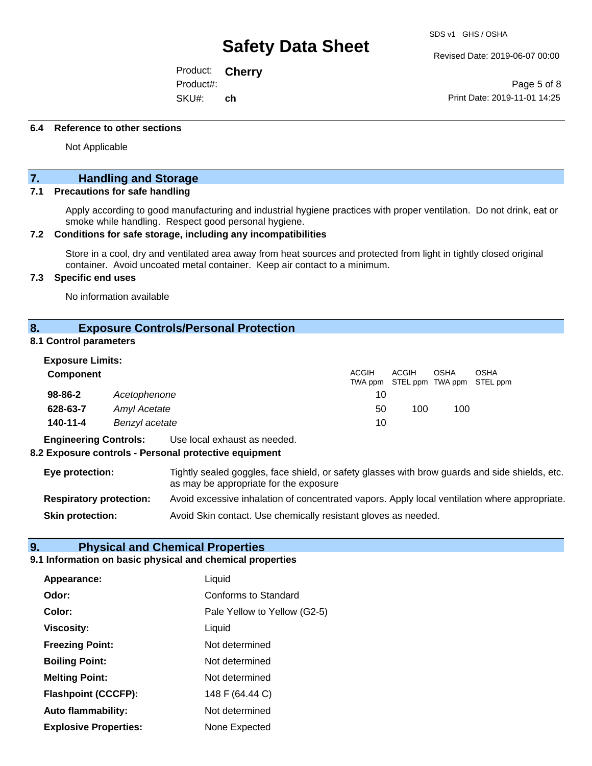Revised Date: 2019-06-07 00:00

Product: **Cherry** SKU#: Product#: **ch**

Page 5 of 8 Print Date: 2019-11-01 14:25

#### **6.4 Reference to other sections**

Not Applicable

# **7. Handling and Storage**

#### **7.1 Precautions for safe handling**

Apply according to good manufacturing and industrial hygiene practices with proper ventilation. Do not drink, eat or smoke while handling. Respect good personal hygiene.

#### **7.2 Conditions for safe storage, including any incompatibilities**

Store in a cool, dry and ventilated area away from heat sources and protected from light in tightly closed original container. Avoid uncoated metal container. Keep air contact to a minimum.

#### **7.3 Specific end uses**

No information available

#### **8. Exposure Controls/Personal Protection**

#### **8.1 Control parameters**

| <b>Exposure Limits:</b> |                |       |                                            |             |             |
|-------------------------|----------------|-------|--------------------------------------------|-------------|-------------|
| <b>Component</b>        |                | ACGIH | ACGIH<br>TWA ppm STEL ppm TWA ppm STEL ppm | <b>OSHA</b> | <b>OSHA</b> |
| 98-86-2                 | Acetophenone   | 10    |                                            |             |             |
| 628-63-7                | Amyl Acetate   | 50    | 100                                        | 100         |             |
| 140-11-4                | Benzyl acetate | 10    |                                            |             |             |

**Engineering Controls:** Use local exhaust as needed.

#### **8.2 Exposure controls - Personal protective equipment**

| Eye protection:                | Tightly sealed goggles, face shield, or safety glasses with brow guards and side shields, etc.<br>as may be appropriate for the exposure |
|--------------------------------|------------------------------------------------------------------------------------------------------------------------------------------|
| <b>Respiratory protection:</b> | Avoid excessive inhalation of concentrated vapors. Apply local ventilation where appropriate.                                            |
| <b>Skin protection:</b>        | Avoid Skin contact. Use chemically resistant gloves as needed.                                                                           |

#### **9. Physical and Chemical Properties**

#### **9.1 Information on basic physical and chemical properties**

| Appearance:                  | Liquid                       |
|------------------------------|------------------------------|
| Odor:                        | <b>Conforms to Standard</b>  |
| Color:                       | Pale Yellow to Yellow (G2-5) |
| <b>Viscosity:</b>            | Liquid                       |
| <b>Freezing Point:</b>       | Not determined               |
| <b>Boiling Point:</b>        | Not determined               |
| <b>Melting Point:</b>        | Not determined               |
| <b>Flashpoint (CCCFP):</b>   | 148 F (64.44 C)              |
| <b>Auto flammability:</b>    | Not determined               |
| <b>Explosive Properties:</b> | None Expected                |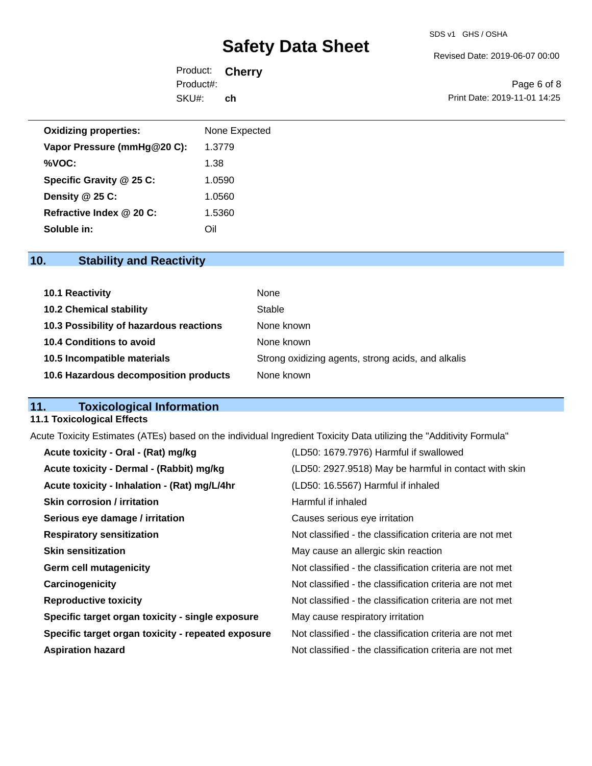#### SDS v1 GHS / OSHA

# **Safety Data Sheet**

Revised Date: 2019-06-07 00:00

Product: **Cherry** SKU#: Product#: **ch**

Page 6 of 8 Print Date: 2019-11-01 14:25

| <b>Oxidizing properties:</b> | None Expected |
|------------------------------|---------------|
| Vapor Pressure (mmHg@20 C):  | 1.3779        |
| %VOC:                        | 1.38          |
| Specific Gravity @ 25 C:     | 1.0590        |
| Density $@25C$ :             | 1.0560        |
| Refractive Index @ 20 C:     | 1.5360        |
| Soluble in:                  | Oil           |

# **10. Stability and Reactivity**

| <b>10.1 Reactivity</b>                  | None                                               |
|-----------------------------------------|----------------------------------------------------|
| <b>10.2 Chemical stability</b>          | Stable                                             |
| 10.3 Possibility of hazardous reactions | None known                                         |
| 10.4 Conditions to avoid                | None known                                         |
| 10.5 Incompatible materials             | Strong oxidizing agents, strong acids, and alkalis |
| 10.6 Hazardous decomposition products   | None known                                         |

# **11. Toxicological Information**

#### **11.1 Toxicological Effects**

Acute Toxicity Estimates (ATEs) based on the individual Ingredient Toxicity Data utilizing the "Additivity Formula"

| Acute toxicity - Oral - (Rat) mg/kg                | (LD50: 1679.7976) Harmful if swallowed                   |
|----------------------------------------------------|----------------------------------------------------------|
| Acute toxicity - Dermal - (Rabbit) mg/kg           | (LD50: 2927.9518) May be harmful in contact with skin    |
| Acute toxicity - Inhalation - (Rat) mg/L/4hr       | (LD50: 16.5567) Harmful if inhaled                       |
| <b>Skin corrosion / irritation</b>                 | Harmful if inhaled                                       |
| Serious eye damage / irritation                    | Causes serious eye irritation                            |
| <b>Respiratory sensitization</b>                   | Not classified - the classification criteria are not met |
| <b>Skin sensitization</b>                          | May cause an allergic skin reaction                      |
| <b>Germ cell mutagenicity</b>                      | Not classified - the classification criteria are not met |
| Carcinogenicity                                    | Not classified - the classification criteria are not met |
| <b>Reproductive toxicity</b>                       | Not classified - the classification criteria are not met |
| Specific target organ toxicity - single exposure   | May cause respiratory irritation                         |
| Specific target organ toxicity - repeated exposure | Not classified - the classification criteria are not met |
| <b>Aspiration hazard</b>                           | Not classified - the classification criteria are not met |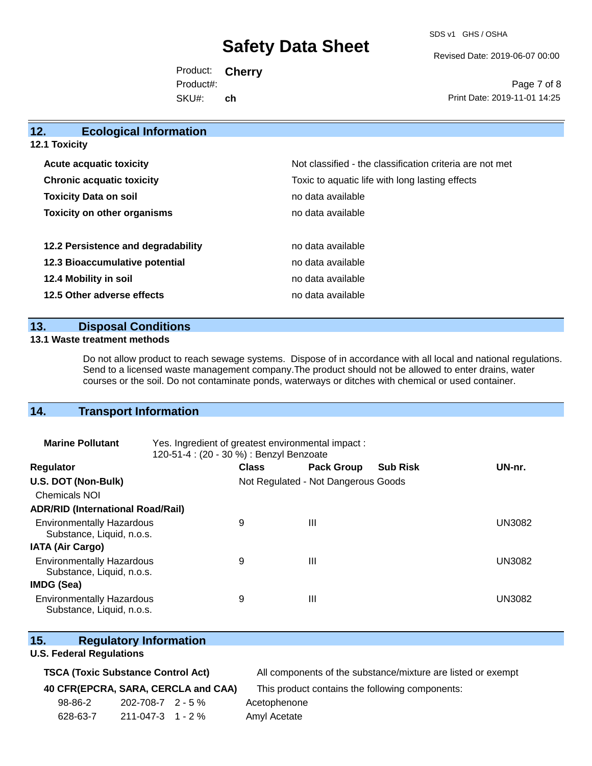SDS v1 GHS / OSHA

Revised Date: 2019-06-07 00:00

Product: **Cherry** SKU#: Product#: **ch**

Page 7 of 8 Print Date: 2019-11-01 14:25

| 12.<br><b>Ecological Information</b> |                                                          |
|--------------------------------------|----------------------------------------------------------|
| <b>12.1 Toxicity</b>                 |                                                          |
| <b>Acute acquatic toxicity</b>       | Not classified - the classification criteria are not met |
| <b>Chronic acquatic toxicity</b>     | Toxic to aquatic life with long lasting effects          |
| <b>Toxicity Data on soil</b>         | no data available                                        |
| <b>Toxicity on other organisms</b>   | no data available                                        |
| 12.2 Persistence and degradability   | no data available                                        |
| 12.3 Bioaccumulative potential       | no data available                                        |
| 12.4 Mobility in soil                | no data available                                        |
| 12.5 Other adverse effects           | no data available                                        |

### **13. Disposal Conditions**

#### **13.1 Waste treatment methods**

Do not allow product to reach sewage systems. Dispose of in accordance with all local and national regulations. Send to a licensed waste management company.The product should not be allowed to enter drains, water courses or the soil. Do not contaminate ponds, waterways or ditches with chemical or used container.

### **14. Transport Information**

| <b>Marine Pollutant</b>                                       | Yes. Ingredient of greatest environmental impact:<br>120-51-4 : (20 - 30 %) : Benzyl Benzoate |              |                                     |                 |               |
|---------------------------------------------------------------|-----------------------------------------------------------------------------------------------|--------------|-------------------------------------|-----------------|---------------|
| <b>Regulator</b>                                              |                                                                                               | <b>Class</b> | <b>Pack Group</b>                   | <b>Sub Risk</b> | UN-nr.        |
| U.S. DOT (Non-Bulk)                                           |                                                                                               |              | Not Regulated - Not Dangerous Goods |                 |               |
| <b>Chemicals NOI</b>                                          |                                                                                               |              |                                     |                 |               |
| <b>ADR/RID (International Road/Rail)</b>                      |                                                                                               |              |                                     |                 |               |
| <b>Environmentally Hazardous</b><br>Substance, Liquid, n.o.s. |                                                                                               | 9            | Ш                                   |                 | <b>UN3082</b> |
| <b>IATA (Air Cargo)</b>                                       |                                                                                               |              |                                     |                 |               |
| <b>Environmentally Hazardous</b><br>Substance, Liquid, n.o.s. |                                                                                               | 9            | Ш                                   |                 | <b>UN3082</b> |
| IMDG (Sea)                                                    |                                                                                               |              |                                     |                 |               |
| <b>Environmentally Hazardous</b><br>Substance, Liquid, n.o.s. |                                                                                               | 9            | Ш                                   |                 | UN3082        |

# **15. Regulatory Information**

### **U.S. Federal Regulations**

|  |  | <b>TSCA (Toxic Substance Control Act)</b> |  |  |
|--|--|-------------------------------------------|--|--|
|--|--|-------------------------------------------|--|--|

All components of the substance/mixture are listed or exempt

**40 CFR(EPCRA, SARA, CERCLA and CAA)** This product contains the following components:

98-86-2 202-708-7 2 - 5 % Acetophenone 628-63-7 211-047-3 1 - 2 % Amyl Acetate